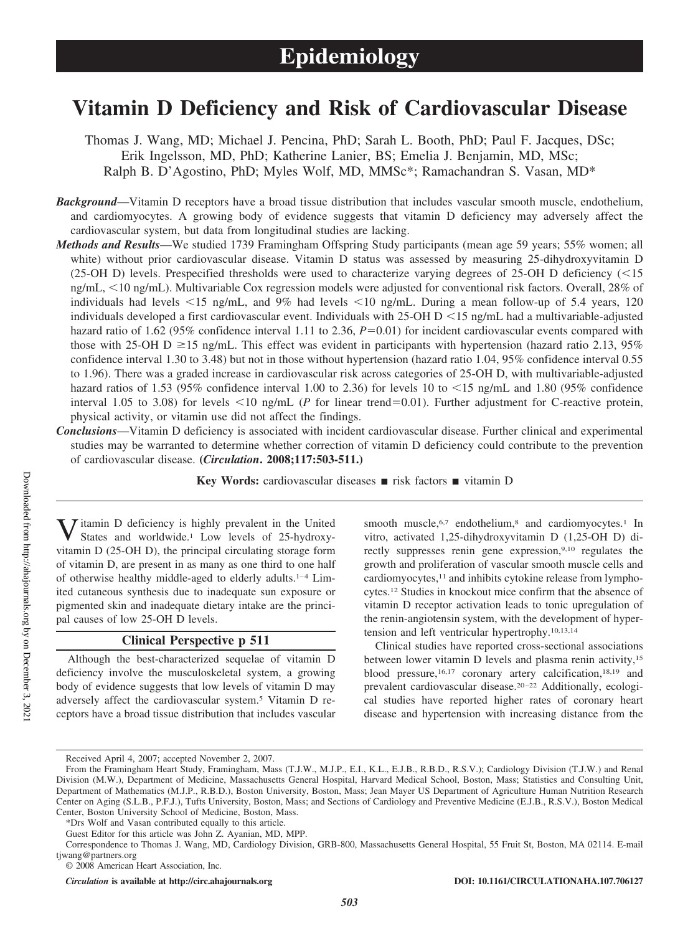# **Vitamin D Deficiency and Risk of Cardiovascular Disease**

Thomas J. Wang, MD; Michael J. Pencina, PhD; Sarah L. Booth, PhD; Paul F. Jacques, DSc; Erik Ingelsson, MD, PhD; Katherine Lanier, BS; Emelia J. Benjamin, MD, MSc; Ralph B. D'Agostino, PhD; Myles Wolf, MD, MMSc\*; Ramachandran S. Vasan, MD\*

*Background*—Vitamin D receptors have a broad tissue distribution that includes vascular smooth muscle, endothelium, and cardiomyocytes. A growing body of evidence suggests that vitamin D deficiency may adversely affect the cardiovascular system, but data from longitudinal studies are lacking.

- *Methods and Results*—We studied 1739 Framingham Offspring Study participants (mean age 59 years; 55% women; all white) without prior cardiovascular disease. Vitamin D status was assessed by measuring 25-dihydroxyvitamin D (25-OH D) levels. Prespecified thresholds were used to characterize varying degrees of 25-OH D deficiency  $\langle$  <15 ng/mL, 10 ng/mL). Multivariable Cox regression models were adjusted for conventional risk factors. Overall, 28% of individuals had levels  $\leq 15$  ng/mL, and 9% had levels  $\leq 10$  ng/mL. During a mean follow-up of 5.4 years, 120 individuals developed a first cardiovascular event. Individuals with  $25$ -OH D  $\leq$  15 ng/mL had a multivariable-adjusted hazard ratio of 1.62 (95% confidence interval 1.11 to 2.36,  $P=0.01$ ) for incident cardiovascular events compared with those with 25-OH D  $\geq$  15 ng/mL. This effect was evident in participants with hypertension (hazard ratio 2.13, 95%) confidence interval 1.30 to 3.48) but not in those without hypertension (hazard ratio 1.04, 95% confidence interval 0.55 to 1.96). There was a graded increase in cardiovascular risk across categories of 25-OH D, with multivariable-adjusted hazard ratios of 1.53 (95% confidence interval 1.00 to 2.36) for levels 10 to  $\lt 15$  ng/mL and 1.80 (95% confidence interval 1.05 to 3.08) for levels  $\leq 10$  ng/mL (*P* for linear trend=0.01). Further adjustment for C-reactive protein, physical activity, or vitamin use did not affect the findings.
- *Conclusions*—Vitamin D deficiency is associated with incident cardiovascular disease. Further clinical and experimental studies may be warranted to determine whether correction of vitamin D deficiency could contribute to the prevention of cardiovascular disease. **(***Circulation***. 2008;117:503-511.)**

**Key Words:** cardiovascular diseases ■ risk factors ■ vitamin D

 $\bar{J}$  itamin D deficiency is highly prevalent in the United States and worldwide.1 Low levels of 25-hydroxyvitamin D (25-OH D), the principal circulating storage form of vitamin D, are present in as many as one third to one half of otherwise healthy middle-aged to elderly adults.<sup>1-4</sup> Limited cutaneous synthesis due to inadequate sun exposure or pigmented skin and inadequate dietary intake are the principal causes of low 25-OH D levels.

# **Clinical Perspective p 511**

Although the best-characterized sequelae of vitamin D deficiency involve the musculoskeletal system, a growing body of evidence suggests that low levels of vitamin D may adversely affect the cardiovascular system.5 Vitamin D receptors have a broad tissue distribution that includes vascular smooth muscle,<sup>6,7</sup> endothelium,<sup>8</sup> and cardiomyocytes.<sup>1</sup> In vitro, activated 1,25-dihydroxyvitamin D (1,25-OH D) directly suppresses renin gene expression,<sup>9,10</sup> regulates the growth and proliferation of vascular smooth muscle cells and cardiomyocytes,<sup>11</sup> and inhibits cytokine release from lymphocytes.12 Studies in knockout mice confirm that the absence of vitamin D receptor activation leads to tonic upregulation of the renin-angiotensin system, with the development of hypertension and left ventricular hypertrophy.10,13,14

Clinical studies have reported cross-sectional associations between lower vitamin D levels and plasma renin activity,<sup>15</sup> blood pressure,<sup>16,17</sup> coronary artery calcification,<sup>18,19</sup> and prevalent cardiovascular disease.<sup>20-22</sup> Additionally, ecological studies have reported higher rates of coronary heart disease and hypertension with increasing distance from the

Received April 4, 2007; accepted November 2, 2007.

From the Framingham Heart Study, Framingham, Mass (T.J.W., M.J.P., E.I., K.L., E.J.B., R.B.D., R.S.V.); Cardiology Division (T.J.W.) and Renal Division (M.W.), Department of Medicine, Massachusetts General Hospital, Harvard Medical School, Boston, Mass; Statistics and Consulting Unit, Department of Mathematics (M.J.P., R.B.D.), Boston University, Boston, Mass; Jean Mayer US Department of Agriculture Human Nutrition Research Center on Aging (S.L.B., P.F.J.), Tufts University, Boston, Mass; and Sections of Cardiology and Preventive Medicine (E.J.B., R.S.V.), Boston Medical Center, Boston University School of Medicine, Boston, Mass.

<sup>\*</sup>Drs Wolf and Vasan contributed equally to this article.

Guest Editor for this article was John Z. Ayanian, MD, MPP.

Correspondence to Thomas J. Wang, MD, Cardiology Division, GRB-800, Massachusetts General Hospital, 55 Fruit St, Boston, MA 02114. E-mail tjwang@partners.org

<sup>© 2008</sup> American Heart Association, Inc.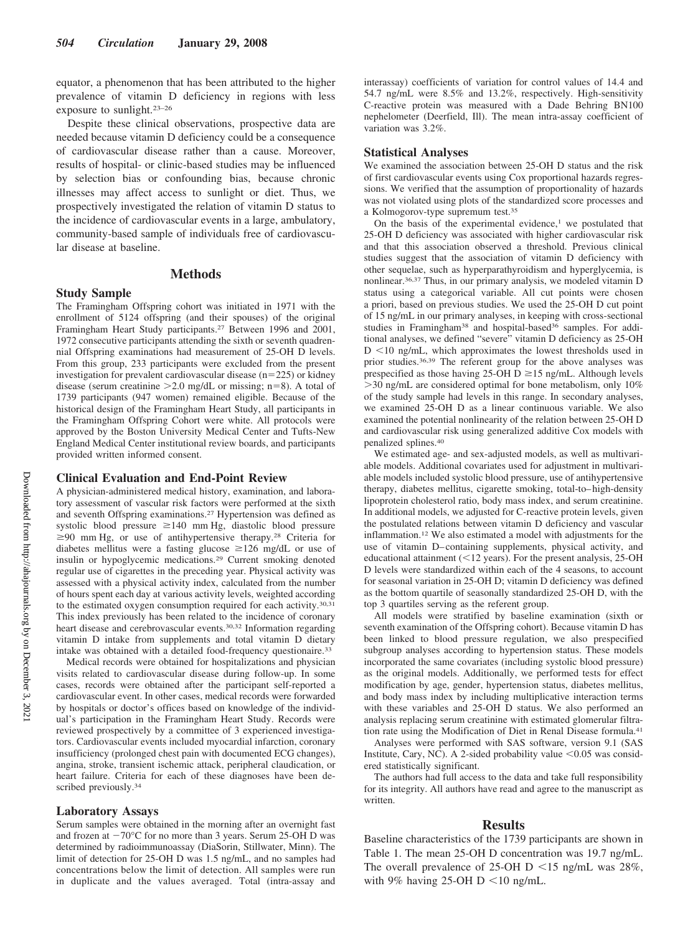equator, a phenomenon that has been attributed to the higher prevalence of vitamin D deficiency in regions with less exposure to sunlight.23–26

Despite these clinical observations, prospective data are needed because vitamin D deficiency could be a consequence of cardiovascular disease rather than a cause. Moreover, results of hospital- or clinic-based studies may be influenced by selection bias or confounding bias, because chronic illnesses may affect access to sunlight or diet. Thus, we prospectively investigated the relation of vitamin D status to the incidence of cardiovascular events in a large, ambulatory, community-based sample of individuals free of cardiovascular disease at baseline.

# **Methods**

## **Study Sample**

The Framingham Offspring cohort was initiated in 1971 with the enrollment of 5124 offspring (and their spouses) of the original Framingham Heart Study participants.27 Between 1996 and 2001, 1972 consecutive participants attending the sixth or seventh quadrennial Offspring examinations had measurement of 25-OH D levels. From this group, 233 participants were excluded from the present investigation for prevalent cardiovascular disease  $(n=225)$  or kidney disease (serum creatinine  $>2.0$  mg/dL or missing; n=8). A total of 1739 participants (947 women) remained eligible. Because of the historical design of the Framingham Heart Study, all participants in the Framingham Offspring Cohort were white. All protocols were approved by the Boston University Medical Center and Tufts-New England Medical Center institutional review boards, and participants provided written informed consent.

#### **Clinical Evaluation and End-Point Review**

A physician-administered medical history, examination, and laboratory assessment of vascular risk factors were performed at the sixth and seventh Offspring examinations.27 Hypertension was defined as systolic blood pressure  $\geq 140$  mm Hg, diastolic blood pressure  $\geq$ 90 mm Hg, or use of antihypertensive therapy.<sup>28</sup> Criteria for diabetes mellitus were a fasting glucose  $\geq$ 126 mg/dL or use of insulin or hypoglycemic medications.29 Current smoking denoted regular use of cigarettes in the preceding year. Physical activity was assessed with a physical activity index, calculated from the number of hours spent each day at various activity levels, weighted according to the estimated oxygen consumption required for each activity.30,31 This index previously has been related to the incidence of coronary heart disease and cerebrovascular events.30,32 Information regarding vitamin D intake from supplements and total vitamin D dietary intake was obtained with a detailed food-frequency questionaire.33

Medical records were obtained for hospitalizations and physician visits related to cardiovascular disease during follow-up. In some cases, records were obtained after the participant self-reported a cardiovascular event. In other cases, medical records were forwarded by hospitals or doctor's offices based on knowledge of the individual's participation in the Framingham Heart Study. Records were reviewed prospectively by a committee of 3 experienced investigators. Cardiovascular events included myocardial infarction, coronary insufficiency (prolonged chest pain with documented ECG changes), angina, stroke, transient ischemic attack, peripheral claudication, or heart failure. Criteria for each of these diagnoses have been described previously.<sup>34</sup>

#### **Laboratory Assays**

Serum samples were obtained in the morning after an overnight fast and frozen at  $-70^{\circ}$ C for no more than 3 years. Serum 25-OH D was determined by radioimmunoassay (DiaSorin, Stillwater, Minn). The limit of detection for 25-OH D was 1.5 ng/mL, and no samples had concentrations below the limit of detection. All samples were run in duplicate and the values averaged. Total (intra-assay and interassay) coefficients of variation for control values of 14.4 and 54.7 ng/mL were 8.5% and 13.2%, respectively. High-sensitivity C-reactive protein was measured with a Dade Behring BN100 nephelometer (Deerfield, Ill). The mean intra-assay coefficient of variation was 3.2%.

#### **Statistical Analyses**

We examined the association between 25-OH D status and the risk of first cardiovascular events using Cox proportional hazards regressions. We verified that the assumption of proportionality of hazards was not violated using plots of the standardized score processes and a Kolmogorov-type supremum test.35

On the basis of the experimental evidence, $1$  we postulated that 25-OH D deficiency was associated with higher cardiovascular risk and that this association observed a threshold. Previous clinical studies suggest that the association of vitamin D deficiency with other sequelae, such as hyperparathyroidism and hyperglycemia, is nonlinear.36,37 Thus, in our primary analysis, we modeled vitamin D status using a categorical variable. All cut points were chosen a priori, based on previous studies. We used the 25-OH D cut point of 15 ng/mL in our primary analyses, in keeping with cross-sectional studies in Framingham<sup>38</sup> and hospital-based<sup>36</sup> samples. For additional analyses, we defined "severe" vitamin D deficiency as 25-OH  $D < 10$  ng/mL, which approximates the lowest thresholds used in prior studies.36,39 The referent group for the above analyses was prespecified as those having 25-OH D  $\geq$  15 ng/mL. Although levels 30 ng/mL are considered optimal for bone metabolism, only 10% of the study sample had levels in this range. In secondary analyses, we examined 25-OH D as a linear continuous variable. We also examined the potential nonlinearity of the relation between 25-OH D and cardiovascular risk using generalized additive Cox models with penalized splines.40

We estimated age- and sex-adjusted models, as well as multivariable models. Additional covariates used for adjustment in multivariable models included systolic blood pressure, use of antihypertensive therapy, diabetes mellitus, cigarette smoking, total-to– high-density lipoprotein cholesterol ratio, body mass index, and serum creatinine. In additional models, we adjusted for C-reactive protein levels, given the postulated relations between vitamin D deficiency and vascular inflammation.12 We also estimated a model with adjustments for the use of vitamin D– containing supplements, physical activity, and educational attainment ( $\leq$ 12 years). For the present analysis, 25-OH D levels were standardized within each of the 4 seasons, to account for seasonal variation in 25-OH D; vitamin D deficiency was defined as the bottom quartile of seasonally standardized 25-OH D, with the top 3 quartiles serving as the referent group.

All models were stratified by baseline examination (sixth or seventh examination of the Offspring cohort). Because vitamin D has been linked to blood pressure regulation, we also prespecified subgroup analyses according to hypertension status. These models incorporated the same covariates (including systolic blood pressure) as the original models. Additionally, we performed tests for effect modification by age, gender, hypertension status, diabetes mellitus, and body mass index by including multiplicative interaction terms with these variables and 25-OH D status. We also performed an analysis replacing serum creatinine with estimated glomerular filtration rate using the Modification of Diet in Renal Disease formula.41

Analyses were performed with SAS software, version 9.1 (SAS Institute, Cary, NC). A 2-sided probability value  $\leq 0.05$  was considered statistically significant.

The authors had full access to the data and take full responsibility for its integrity. All authors have read and agree to the manuscript as written.

## **Results**

Baseline characteristics of the 1739 participants are shown in Table 1. The mean 25-OH D concentration was 19.7 ng/mL. The overall prevalence of 25-OH D  $\le$  15 ng/mL was 28%, with 9% having 25-OH D  $\leq$  10 ng/mL.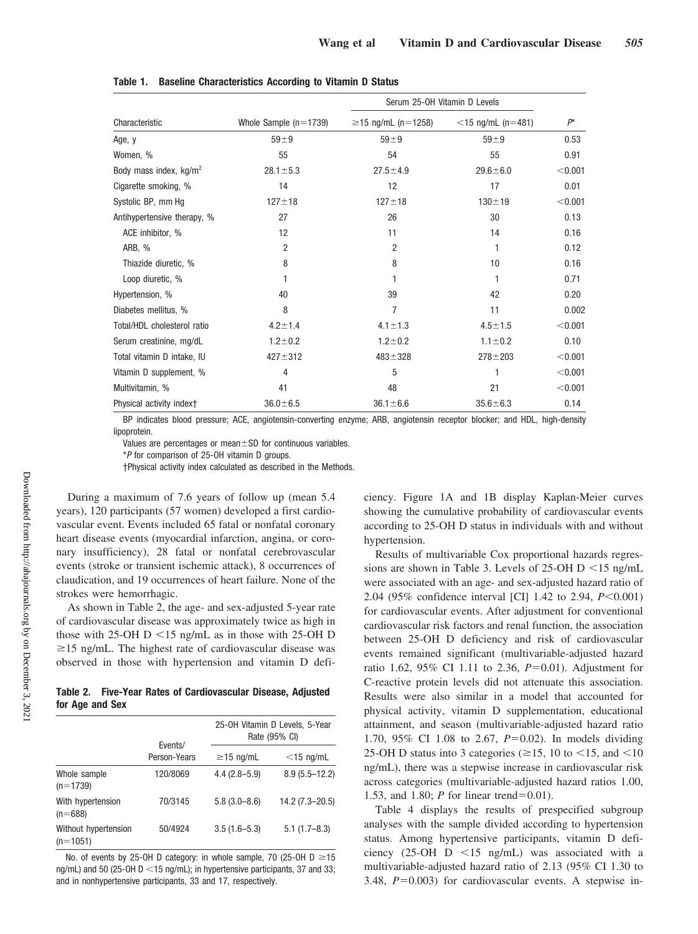|                             |                         | Serum 25-0H Vitamin D Levels |                      |         |
|-----------------------------|-------------------------|------------------------------|----------------------|---------|
| Characteristic              | Whole Sample $(n=1739)$ | $≥15$ ng/mL (n=1258)         | $<$ 15 ng/mL (n=481) | $P^*$   |
| Age, y                      | $59 \pm 9$              | $59 + 9$                     | $59 + 9$             | 0.53    |
| Women, %                    | 55                      | 54                           | 55                   | 0.91    |
| Body mass index, $kg/m2$    | $28.1 \pm 5.3$          | $27.5 \pm 4.9$               | $29.6 + 6.0$         | < 0.001 |
| Cigarette smoking, %        | 14                      | 12                           | 17                   | 0.01    |
| Systolic BP, mm Hg          | $127 + 18$              | $127 + 18$                   | $130 + 19$           | < 0.001 |
| Antihypertensive therapy, % | 27                      | 26                           | 30                   | 0.13    |
| ACE inhibitor, %            | 12                      | 11                           | 14                   | 0.16    |
| ARB, %                      | $\overline{2}$          | 2                            | 1                    | 0.12    |
| Thiazide diuretic, %        | 8                       | 8                            | 10                   | 0.16    |
| Loop diuretic, %            |                         |                              | 1                    | 0.71    |
| Hypertension, %             | 40                      | 39                           | 42                   | 0.20    |
| Diabetes mellitus, %        | 8                       | 7                            | 11                   | 0.002   |
| Total/HDL cholesterol ratio | $4.2 \pm 1.4$           | $4.1 \pm 1.3$                | $4.5 \pm 1.5$        | < 0.001 |
| Serum creatinine, mg/dL     | $1.2 \pm 0.2$           | $1.2 + 0.2$                  | $1.1 \pm 0.2$        | 0.10    |
| Total vitamin D intake, IU  | $427 + 312$             | $483 + 328$                  | $278 + 203$          | < 0.001 |
| Vitamin D supplement, %     | 4                       | 5                            | 1                    | < 0.001 |
| Multivitamin, %             | 41                      | 48                           | 21                   | < 0.001 |
| Physical activity index+    | $36.0 \pm 6.5$          | $36.1 \pm 6.6$               | $35.6 \pm 6.3$       | 0.14    |

**Table 1. Baseline Characteristics According to Vitamin D Status**

BP indicates blood pressure; ACE, angiotensin-converting enzyme; ARB, angiotensin receptor blocker; and HDL, high-density lipoprotein.

Values are percentages or mean $\pm$ SD for continuous variables.

\**P* for comparison of 25-OH vitamin D groups.

†Physical activity index calculated as described in the Methods.

During a maximum of 7.6 years of follow up (mean 5.4 years), 120 participants (57 women) developed a first cardiovascular event. Events included 65 fatal or nonfatal coronary heart disease events (myocardial infarction, angina, or coronary insufficiency), 28 fatal or nonfatal cerebrovascular events (stroke or transient ischemic attack), 8 occurrences of claudication, and 19 occurrences of heart failure. None of the strokes were hemorrhagic.

As shown in Table 2, the age- and sex-adjusted 5-year rate of cardiovascular disease was approximately twice as high in those with 25-OH D  $\le$  15 ng/mL as in those with 25-OH D  $\geq$ 15 ng/mL. The highest rate of cardiovascular disease was observed in those with hypertension and vitamin D defi-

**Table 2. Five-Year Rates of Cardiovascular Disease, Adjusted for Age and Sex**

|                                    |                         | 25-0H Vitamin D Levels, 5-Year<br>Rate (95% CI) |                   |  |
|------------------------------------|-------------------------|-------------------------------------------------|-------------------|--|
|                                    | Events/<br>Person-Years | $\geq$ 15 ng/mL                                 | $<$ 15 ng/mL      |  |
| Whole sample<br>$(n=1739)$         | 120/8069                | $4.4(2.8 - 5.9)$                                | $8.9(5.5 - 12.2)$ |  |
| With hypertension<br>$(n=688)$     | 70/3145                 | $5.8(3.0 - 8.6)$                                | 14.2 (7.3-20.5)   |  |
| Without hypertension<br>$(n=1051)$ | 50/4924                 | $3.5(1.6 - 5.3)$                                | $5.1(1.7 - 8.3)$  |  |

No. of events by 25-OH D category: in whole sample, 70 (25-OH D  $\geq$ 15 ng/mL) and 50 (25-OH  $D < 15$  ng/mL); in hypertensive participants, 37 and 33; and in nonhypertensive participants, 33 and 17, respectively.

ciency. Figure 1A and 1B display Kaplan-Meier curves showing the cumulative probability of cardiovascular events according to 25-OH D status in individuals with and without hypertension.

Results of multivariable Cox proportional hazards regressions are shown in Table 3. Levels of 25-OH D  $\le$  15 ng/mL were associated with an age- and sex-adjusted hazard ratio of 2.04 (95% confidence interval [CI] 1.42 to 2.94,  $P<0.001$ ) for cardiovascular events. After adjustment for conventional cardiovascular risk factors and renal function, the association between 25-OH D deficiency and risk of cardiovascular events remained significant (multivariable-adjusted hazard ratio 1.62, 95% CI 1.11 to 2.36, *P*=0.01). Adjustment for C-reactive protein levels did not attenuate this association. Results were also similar in a model that accounted for physical activity, vitamin D supplementation, educational attainment, and season (multivariable-adjusted hazard ratio 1.70, 95% CI 1.08 to 2.67, *P*=0.02). In models dividing 25-OH D status into 3 categories ( $\geq$ 15, 10 to <15, and <10 ng/mL), there was a stepwise increase in cardiovascular risk across categories (multivariable-adjusted hazard ratios 1.00, 1.53, and 1.80; *P* for linear trend=0.01).

Table 4 displays the results of prespecified subgroup analyses with the sample divided according to hypertension status. Among hypertensive participants, vitamin D deficiency (25-OH  $D \le 15$  ng/mL) was associated with a multivariable-adjusted hazard ratio of 2.13 (95% CI 1.30 to 3.48, *P*=0.003) for cardiovascular events. A stepwise in-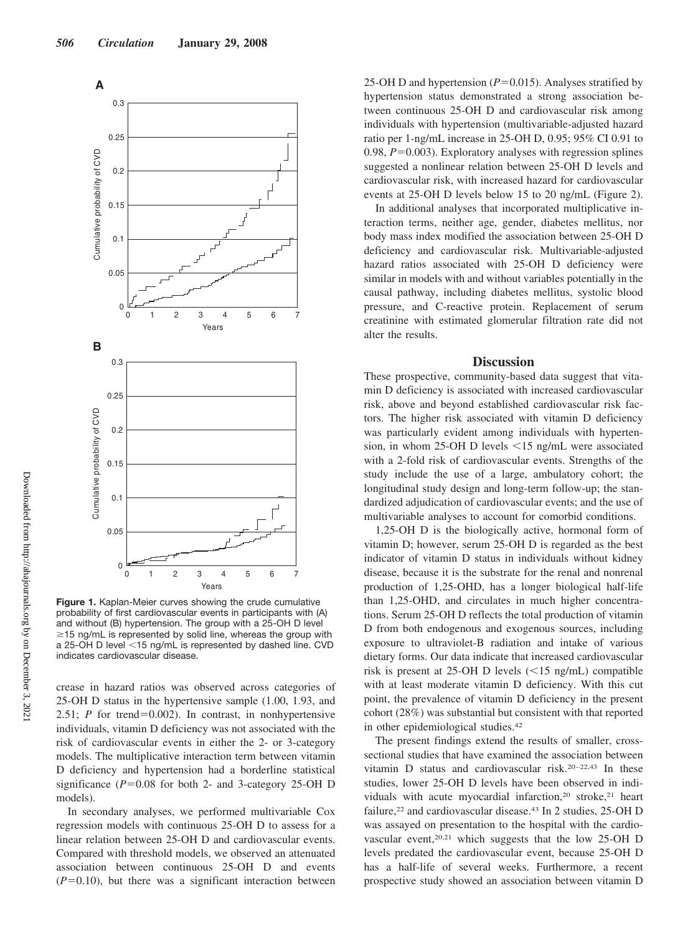

**Figure 1.** Kaplan-Meier curves showing the crude cumulative probability of first cardiovascular events in participants with (A) and without (B) hypertension. The group with a 25-OH D level  $\geq$ 15 ng/mL is represented by solid line, whereas the group with a 25-OH D level <15 ng/mL is represented by dashed line. CVD indicates cardiovascular disease.

crease in hazard ratios was observed across categories of 25-OH D status in the hypertensive sample (1.00, 1.93, and 2.51; *P* for trend=0.002). In contrast, in nonhypertensive individuals, vitamin D deficiency was not associated with the risk of cardiovascular events in either the 2- or 3-category models. The multiplicative interaction term between vitamin D deficiency and hypertension had a borderline statistical significance  $(P=0.08$  for both 2- and 3-category 25-OH D models).

In secondary analyses, we performed multivariable Cox regression models with continuous 25-OH D to assess for a linear relation between 25-OH D and cardiovascular events. Compared with threshold models, we observed an attenuated association between continuous 25-OH D and events  $(P=0.10)$ , but there was a significant interaction between

25-OH D and hypertension  $(P=0.015)$ . Analyses stratified by hypertension status demonstrated a strong association between continuous 25-OH D and cardiovascular risk among individuals with hypertension (multivariable-adjusted hazard ratio per 1-ng/mL increase in 25-OH D, 0.95; 95% CI 0.91 to 0.98,  $P = 0.003$ ). Exploratory analyses with regression splines suggested a nonlinear relation between 25-OH D levels and cardiovascular risk, with increased hazard for cardiovascular events at 25-OH D levels below 15 to 20 ng/mL (Figure 2).

In additional analyses that incorporated multiplicative interaction terms, neither age, gender, diabetes mellitus, nor body mass index modified the association between 25-OH D deficiency and cardiovascular risk. Multivariable-adjusted hazard ratios associated with 25-OH D deficiency were similar in models with and without variables potentially in the causal pathway, including diabetes mellitus, systolic blood pressure, and C-reactive protein. Replacement of serum creatinine with estimated glomerular filtration rate did not alter the results.

## **Discussion**

These prospective, community-based data suggest that vitamin D deficiency is associated with increased cardiovascular risk, above and beyond established cardiovascular risk factors. The higher risk associated with vitamin D deficiency was particularly evident among individuals with hypertension, in whom 25-OH D levels  $\le$ 15 ng/mL were associated with a 2-fold risk of cardiovascular events. Strengths of the study include the use of a large, ambulatory cohort; the longitudinal study design and long-term follow-up; the standardized adjudication of cardiovascular events; and the use of multivariable analyses to account for comorbid conditions.

1,25-OH D is the biologically active, hormonal form of vitamin D; however, serum 25-OH D is regarded as the best indicator of vitamin D status in individuals without kidney disease, because it is the substrate for the renal and nonrenal production of 1,25-OHD, has a longer biological half-life than 1,25-OHD, and circulates in much higher concentrations. Serum 25-OH D reflects the total production of vitamin D from both endogenous and exogenous sources, including exposure to ultraviolet-B radiation and intake of various dietary forms. Our data indicate that increased cardiovascular risk is present at 25-OH D levels  $(<15$  ng/mL) compatible with at least moderate vitamin D deficiency. With this cut point, the prevalence of vitamin D deficiency in the present cohort (28%) was substantial but consistent with that reported in other epidemiological studies.42

The present findings extend the results of smaller, crosssectional studies that have examined the association between vitamin D status and cardiovascular risk.<sup>20-22,43</sup> In these studies, lower 25-OH D levels have been observed in individuals with acute myocardial infarction,<sup>20</sup> stroke,<sup>21</sup> heart failure,<sup>22</sup> and cardiovascular disease.<sup>43</sup> In 2 studies, 25-OH D was assayed on presentation to the hospital with the cardiovascular event,<sup>20,21</sup> which suggests that the low 25-OH D levels predated the cardiovascular event, because 25-OH D has a half-life of several weeks. Furthermore, a recent prospective study showed an association between vitamin D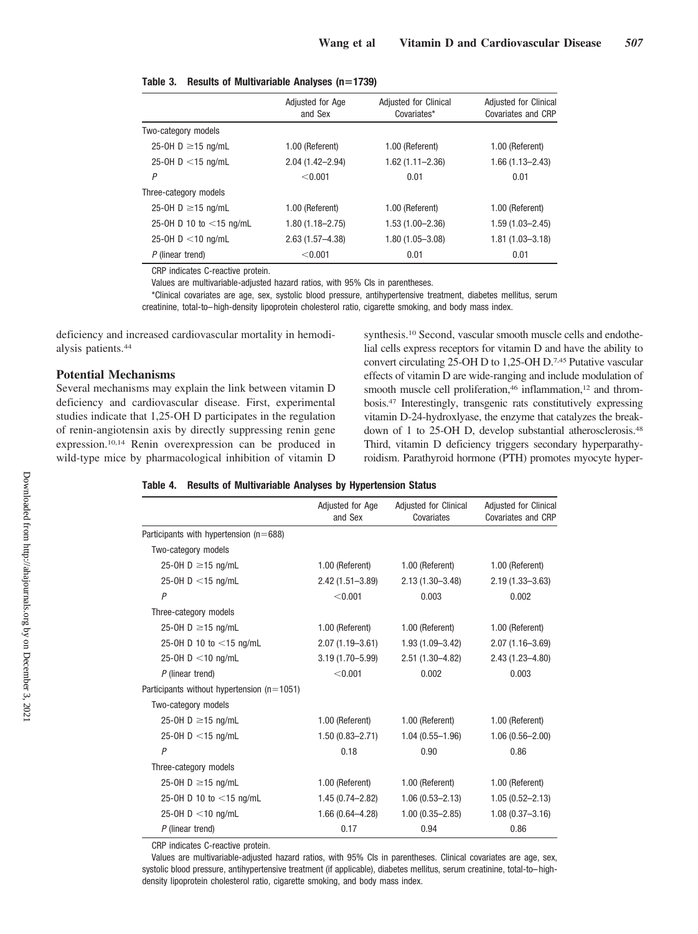|                            | Adjusted for Age<br>and Sex | Adjusted for Clinical<br>Covariates* | <b>Adjusted for Clinical</b><br>Covariates and CRP |
|----------------------------|-----------------------------|--------------------------------------|----------------------------------------------------|
| Two-category models        |                             |                                      |                                                    |
| 25-0H D $\geq$ 15 ng/mL    | 1.00 (Referent)             | 1.00 (Referent)                      | 1.00 (Referent)                                    |
| 25-0H D $<$ 15 ng/mL       | 2.04 (1.42-2.94)            | $1.62(1.11 - 2.36)$                  | $1.66(1.13 - 2.43)$                                |
| P                          | < 0.001                     | 0.01                                 | 0.01                                               |
| Three-category models      |                             |                                      |                                                    |
| 25-0H D $\geq$ 15 ng/mL    | 1.00 (Referent)             | 1.00 (Referent)                      | 1.00 (Referent)                                    |
| 25-0H D 10 to $<$ 15 ng/mL | $1.80(1.18 - 2.75)$         | 1.53 (1.00-2.36)                     | $1.59(1.03 - 2.45)$                                |
| 25-0H $D < 10$ ng/mL       | $2.63(1.57 - 4.38)$         | $1.80(1.05 - 3.08)$                  | 1.81 (1.03-3.18)                                   |
| $P$ (linear trend)         | < 0.001                     | 0.01                                 | 0.01                                               |

|  |  | Table 3. Results of Multivariable Analyses (n=1739) |  |  |
|--|--|-----------------------------------------------------|--|--|
|--|--|-----------------------------------------------------|--|--|

CRP indicates C-reactive protein.

Values are multivariable-adjusted hazard ratios, with 95% CIs in parentheses.

\*Clinical covariates are age, sex, systolic blood pressure, antihypertensive treatment, diabetes mellitus, serum creatinine, total-to– high-density lipoprotein cholesterol ratio, cigarette smoking, and body mass index.

deficiency and increased cardiovascular mortality in hemodialysis patients.44

#### **Potential Mechanisms**

Several mechanisms may explain the link between vitamin D deficiency and cardiovascular disease. First, experimental studies indicate that 1,25-OH D participates in the regulation of renin-angiotensin axis by directly suppressing renin gene expression.10,14 Renin overexpression can be produced in wild-type mice by pharmacological inhibition of vitamin D

synthesis.10 Second, vascular smooth muscle cells and endothelial cells express receptors for vitamin D and have the ability to convert circulating 25-OH D to 1,25-OH D.7,45 Putative vascular effects of vitamin D are wide-ranging and include modulation of smooth muscle cell proliferation,<sup>46</sup> inflammation,<sup>12</sup> and thrombosis.47 Interestingly, transgenic rats constitutively expressing vitamin D-24-hydroxlyase, the enzyme that catalyzes the breakdown of 1 to 25-OH D, develop substantial atherosclerosis.48 Third, vitamin D deficiency triggers secondary hyperparathyroidism. Parathyroid hormone (PTH) promotes myocyte hyper-

#### **Table 4. Results of Multivariable Analyses by Hypertension Status**

|                                                  | Adjusted for Age<br>and Sex | <b>Adjusted for Clinical</b><br>Covariates | Adjusted for Clinical<br>Covariates and CRP |
|--------------------------------------------------|-----------------------------|--------------------------------------------|---------------------------------------------|
| Participants with hypertension ( $n=688$ )       |                             |                                            |                                             |
| Two-category models                              |                             |                                            |                                             |
| 25-0H D $\geq$ 15 ng/mL                          | 1.00 (Referent)             | 1.00 (Referent)                            | 1.00 (Referent)                             |
| 25-0H $D < 15$ ng/mL                             | $2.42(1.51 - 3.89)$         | $2.13(1.30 - 3.48)$                        | $2.19(1.33 - 3.63)$                         |
| P                                                | < 0.001                     | 0.003                                      | 0.002                                       |
| Three-category models                            |                             |                                            |                                             |
| 25-0H D $\geq$ 15 ng/mL                          | 1.00 (Referent)             | 1.00 (Referent)                            | 1.00 (Referent)                             |
| 25-0H D 10 to $<$ 15 ng/mL                       | $2.07(1.19 - 3.61)$         | $1.93(1.09 - 3.42)$                        | $2.07(1.16 - 3.69)$                         |
| 25-0H $D < 10$ ng/mL                             | $3.19(1.70 - 5.99)$         | $2.51(1.30 - 4.82)$                        | $2.43(1.23 - 4.80)$                         |
| $P$ (linear trend)                               | < 0.001                     | 0.002                                      | 0.003                                       |
| Participants without hypertension ( $n = 1051$ ) |                             |                                            |                                             |
| Two-category models                              |                             |                                            |                                             |
| 25-0H D $\geq$ 15 ng/mL                          | 1.00 (Referent)             | 1.00 (Referent)                            | 1.00 (Referent)                             |
| 25-0H D $<$ 15 ng/mL                             | $1.50(0.83 - 2.71)$         | $1.04(0.55 - 1.96)$                        | $1.06(0.56 - 2.00)$                         |
| $\overline{P}$                                   | 0.18                        | 0.90                                       | 0.86                                        |
| Three-category models                            |                             |                                            |                                             |
| 25-0H D $\geq$ 15 ng/mL                          | 1.00 (Referent)             | 1.00 (Referent)                            | 1.00 (Referent)                             |
| 25-0H D 10 to $<$ 15 ng/mL                       | $1.45(0.74 - 2.82)$         | $1.06(0.53 - 2.13)$                        | $1.05(0.52 - 2.13)$                         |
| 25-0H $D < 10$ ng/mL                             | $1.66(0.64 - 4.28)$         | $1.00(0.35 - 2.85)$                        | $1.08(0.37 - 3.16)$                         |
| $P$ (linear trend)                               | 0.17                        | 0.94                                       | 0.86                                        |

CRP indicates C-reactive protein.

Values are multivariable-adjusted hazard ratios, with 95% CIs in parentheses. Clinical covariates are age, sex, systolic blood pressure, antihypertensive treatment (if applicable), diabetes mellitus, serum creatinine, total-to– highdensity lipoprotein cholesterol ratio, cigarette smoking, and body mass index.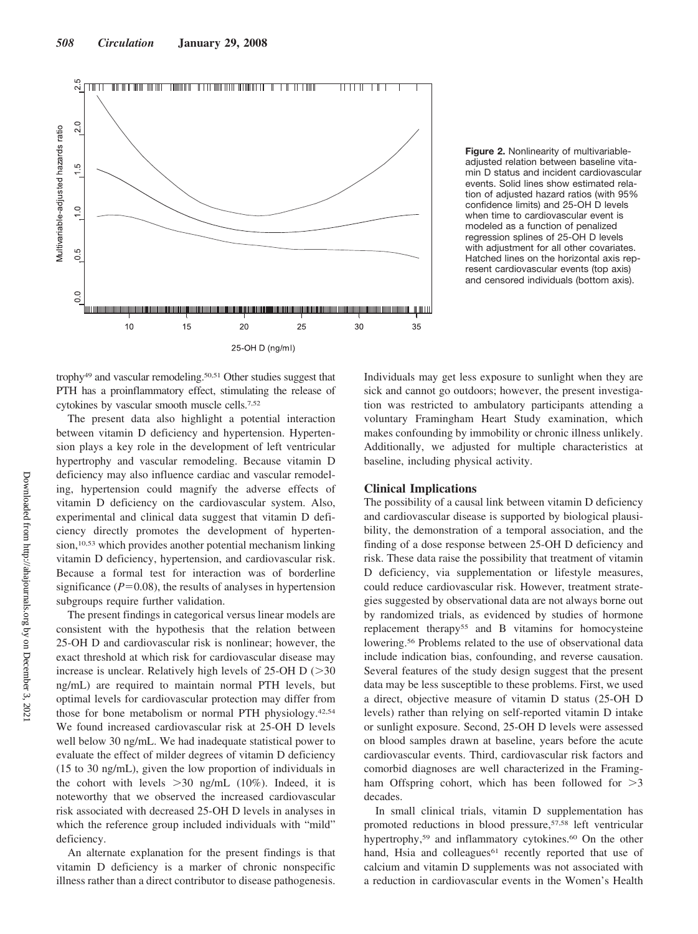

**Figure 2.** Nonlinearity of multivariableadjusted relation between baseline vitamin D status and incident cardiovascular events. Solid lines show estimated relation of adjusted hazard ratios (with 95% confidence limits) and 25-OH D levels when time to cardiovascular event is modeled as a function of penalized regression splines of 25-OH D levels with adjustment for all other covariates. Hatched lines on the horizontal axis represent cardiovascular events (top axis) and censored individuals (bottom axis).

trophy49 and vascular remodeling.50,51 Other studies suggest that PTH has a proinflammatory effect, stimulating the release of cytokines by vascular smooth muscle cells.7,52

The present data also highlight a potential interaction between vitamin D deficiency and hypertension. Hypertension plays a key role in the development of left ventricular hypertrophy and vascular remodeling. Because vitamin D deficiency may also influence cardiac and vascular remodeling, hypertension could magnify the adverse effects of vitamin D deficiency on the cardiovascular system. Also, experimental and clinical data suggest that vitamin D deficiency directly promotes the development of hypertension,<sup>10,53</sup> which provides another potential mechanism linking vitamin D deficiency, hypertension, and cardiovascular risk. Because a formal test for interaction was of borderline significance  $(P=0.08)$ , the results of analyses in hypertension subgroups require further validation.

The present findings in categorical versus linear models are consistent with the hypothesis that the relation between 25-OH D and cardiovascular risk is nonlinear; however, the exact threshold at which risk for cardiovascular disease may increase is unclear. Relatively high levels of  $25$ -OH D ( $>30$ ) ng/mL) are required to maintain normal PTH levels, but optimal levels for cardiovascular protection may differ from those for bone metabolism or normal PTH physiology.42,54 We found increased cardiovascular risk at 25-OH D levels well below 30 ng/mL. We had inadequate statistical power to evaluate the effect of milder degrees of vitamin D deficiency (15 to 30 ng/mL), given the low proportion of individuals in the cohort with levels  $>30$  ng/mL (10%). Indeed, it is noteworthy that we observed the increased cardiovascular risk associated with decreased 25-OH D levels in analyses in which the reference group included individuals with "mild" deficiency.

An alternate explanation for the present findings is that vitamin D deficiency is a marker of chronic nonspecific illness rather than a direct contributor to disease pathogenesis.

Individuals may get less exposure to sunlight when they are sick and cannot go outdoors; however, the present investigation was restricted to ambulatory participants attending a voluntary Framingham Heart Study examination, which makes confounding by immobility or chronic illness unlikely. Additionally, we adjusted for multiple characteristics at baseline, including physical activity.

#### **Clinical Implications**

The possibility of a causal link between vitamin D deficiency and cardiovascular disease is supported by biological plausibility, the demonstration of a temporal association, and the finding of a dose response between 25-OH D deficiency and risk. These data raise the possibility that treatment of vitamin D deficiency, via supplementation or lifestyle measures, could reduce cardiovascular risk. However, treatment strategies suggested by observational data are not always borne out by randomized trials, as evidenced by studies of hormone replacement therapy55 and B vitamins for homocysteine lowering.<sup>56</sup> Problems related to the use of observational data include indication bias, confounding, and reverse causation. Several features of the study design suggest that the present data may be less susceptible to these problems. First, we used a direct, objective measure of vitamin D status (25-OH D levels) rather than relying on self-reported vitamin D intake or sunlight exposure. Second, 25-OH D levels were assessed on blood samples drawn at baseline, years before the acute cardiovascular events. Third, cardiovascular risk factors and comorbid diagnoses are well characterized in the Framingham Offspring cohort, which has been followed for  $>3$ decades.

In small clinical trials, vitamin D supplementation has promoted reductions in blood pressure,57,58 left ventricular hypertrophy,<sup>59</sup> and inflammatory cytokines.<sup>60</sup> On the other hand, Hsia and colleagues<sup>61</sup> recently reported that use of calcium and vitamin D supplements was not associated with a reduction in cardiovascular events in the Women's Health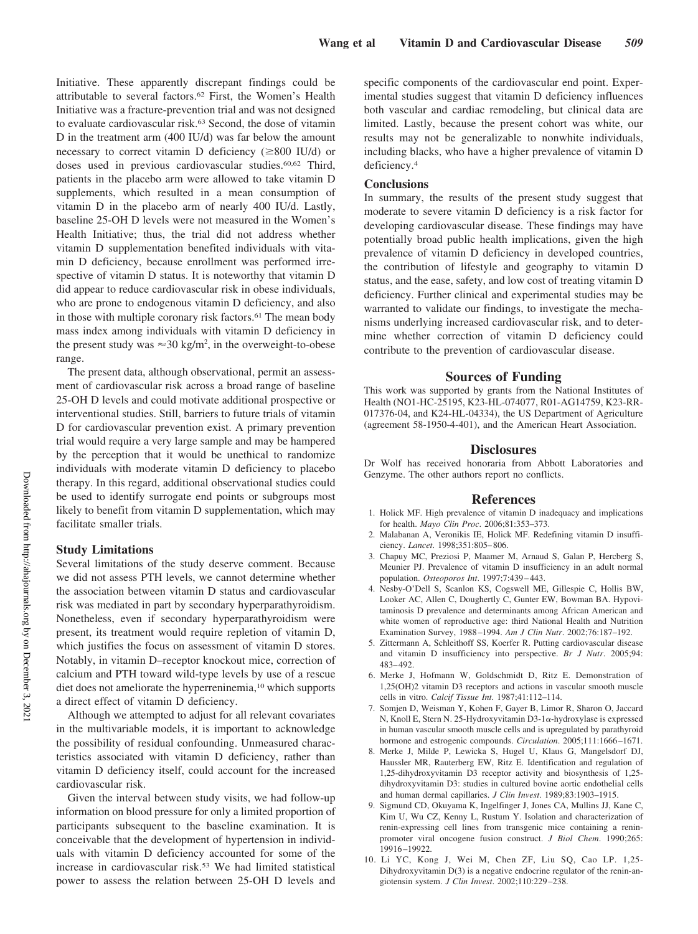Initiative. These apparently discrepant findings could be attributable to several factors.62 First, the Women's Health Initiative was a fracture-prevention trial and was not designed to evaluate cardiovascular risk.<sup>63</sup> Second, the dose of vitamin D in the treatment arm (400 IU/d) was far below the amount necessary to correct vitamin D deficiency ( $\geq 800$  IU/d) or doses used in previous cardiovascular studies.<sup>60,62</sup> Third, patients in the placebo arm were allowed to take vitamin D supplements, which resulted in a mean consumption of vitamin D in the placebo arm of nearly 400 IU/d. Lastly, baseline 25-OH D levels were not measured in the Women's Health Initiative; thus, the trial did not address whether vitamin D supplementation benefited individuals with vitamin D deficiency, because enrollment was performed irrespective of vitamin D status. It is noteworthy that vitamin D did appear to reduce cardiovascular risk in obese individuals, who are prone to endogenous vitamin D deficiency, and also in those with multiple coronary risk factors.<sup>61</sup> The mean body mass index among individuals with vitamin D deficiency in the present study was  $\approx 30 \text{ kg/m}^2$ , in the overweight-to-obese range.

The present data, although observational, permit an assessment of cardiovascular risk across a broad range of baseline 25-OH D levels and could motivate additional prospective or interventional studies. Still, barriers to future trials of vitamin D for cardiovascular prevention exist. A primary prevention trial would require a very large sample and may be hampered by the perception that it would be unethical to randomize individuals with moderate vitamin D deficiency to placebo therapy. In this regard, additional observational studies could be used to identify surrogate end points or subgroups most likely to benefit from vitamin D supplementation, which may facilitate smaller trials.

### **Study Limitations**

Several limitations of the study deserve comment. Because we did not assess PTH levels, we cannot determine whether the association between vitamin D status and cardiovascular risk was mediated in part by secondary hyperparathyroidism. Nonetheless, even if secondary hyperparathyroidism were present, its treatment would require repletion of vitamin D, which justifies the focus on assessment of vitamin D stores. Notably, in vitamin D–receptor knockout mice, correction of calcium and PTH toward wild-type levels by use of a rescue diet does not ameliorate the hyperreninemia,<sup>10</sup> which supports a direct effect of vitamin D deficiency.

Although we attempted to adjust for all relevant covariates in the multivariable models, it is important to acknowledge the possibility of residual confounding. Unmeasured characteristics associated with vitamin D deficiency, rather than vitamin D deficiency itself, could account for the increased cardiovascular risk.

Given the interval between study visits, we had follow-up information on blood pressure for only a limited proportion of participants subsequent to the baseline examination. It is conceivable that the development of hypertension in individuals with vitamin D deficiency accounted for some of the increase in cardiovascular risk.53 We had limited statistical power to assess the relation between 25-OH D levels and

specific components of the cardiovascular end point. Experimental studies suggest that vitamin D deficiency influences both vascular and cardiac remodeling, but clinical data are limited. Lastly, because the present cohort was white, our results may not be generalizable to nonwhite individuals, including blacks, who have a higher prevalence of vitamin D deficiency.4

## **Conclusions**

In summary, the results of the present study suggest that moderate to severe vitamin D deficiency is a risk factor for developing cardiovascular disease. These findings may have potentially broad public health implications, given the high prevalence of vitamin D deficiency in developed countries, the contribution of lifestyle and geography to vitamin D status, and the ease, safety, and low cost of treating vitamin D deficiency. Further clinical and experimental studies may be warranted to validate our findings, to investigate the mechanisms underlying increased cardiovascular risk, and to determine whether correction of vitamin D deficiency could contribute to the prevention of cardiovascular disease.

## **Sources of Funding**

This work was supported by grants from the National Institutes of Health (NO1-HC-25195, K23-HL-074077, R01-AG14759, K23-RR-017376-04, and K24-HL-04334), the US Department of Agriculture (agreement 58-1950-4-401), and the American Heart Association.

#### **Disclosures**

Dr Wolf has received honoraria from Abbott Laboratories and Genzyme. The other authors report no conflicts.

#### **References**

- 1. Holick MF. High prevalence of vitamin D inadequacy and implications for health. *Mayo Clin Proc*. 2006;81:353–373.
- 2. Malabanan A, Veronikis IE, Holick MF. Redefining vitamin D insufficiency. *Lancet*. 1998;351:805– 806.
- 3. Chapuy MC, Preziosi P, Maamer M, Arnaud S, Galan P, Hercberg S, Meunier PJ. Prevalence of vitamin D insufficiency in an adult normal population. *Osteoporos Int*. 1997;7:439 – 443.
- 4. Nesby-O'Dell S, Scanlon KS, Cogswell ME, Gillespie C, Hollis BW, Looker AC, Allen C, Doughertly C, Gunter EW, Bowman BA. Hypovitaminosis D prevalence and determinants among African American and white women of reproductive age: third National Health and Nutrition Examination Survey, 1988 –1994. *Am J Clin Nutr*. 2002;76:187–192.
- 5. Zittermann A, Schleithoff SS, Koerfer R. Putting cardiovascular disease and vitamin D insufficiency into perspective. *Br J Nutr*. 2005;94: 483– 492.
- 6. Merke J, Hofmann W, Goldschmidt D, Ritz E. Demonstration of 1,25(OH)2 vitamin D3 receptors and actions in vascular smooth muscle cells in vitro. *Calcif Tissue Int*. 1987;41:112–114.
- 7. Somjen D, Weisman Y, Kohen F, Gayer B, Limor R, Sharon O, Jaccard N, Knoll E, Stern N. 25-Hydroxyvitamin D3-1 $\alpha$ -hydroxylase is expressed in human vascular smooth muscle cells and is upregulated by parathyroid hormone and estrogenic compounds. *Circulation*. 2005;111:1666 –1671.
- 8. Merke J, Milde P, Lewicka S, Hugel U, Klaus G, Mangelsdorf DJ, Haussler MR, Rauterberg EW, Ritz E. Identification and regulation of 1,25-dihydroxyvitamin D3 receptor activity and biosynthesis of 1,25 dihydroxyvitamin D3: studies in cultured bovine aortic endothelial cells and human dermal capillaries. *J Clin Invest*. 1989;83:1903–1915.
- 9. Sigmund CD, Okuyama K, Ingelfinger J, Jones CA, Mullins JJ, Kane C, Kim U, Wu CZ, Kenny L, Rustum Y. Isolation and characterization of renin-expressing cell lines from transgenic mice containing a reninpromoter viral oncogene fusion construct. *J Biol Chem*. 1990;265: 19916 –19922.
- 10. Li YC, Kong J, Wei M, Chen ZF, Liu SQ, Cao LP. 1,25- Dihydroxyvitamin D(3) is a negative endocrine regulator of the renin-angiotensin system. *J Clin Invest*. 2002;110:229 –238.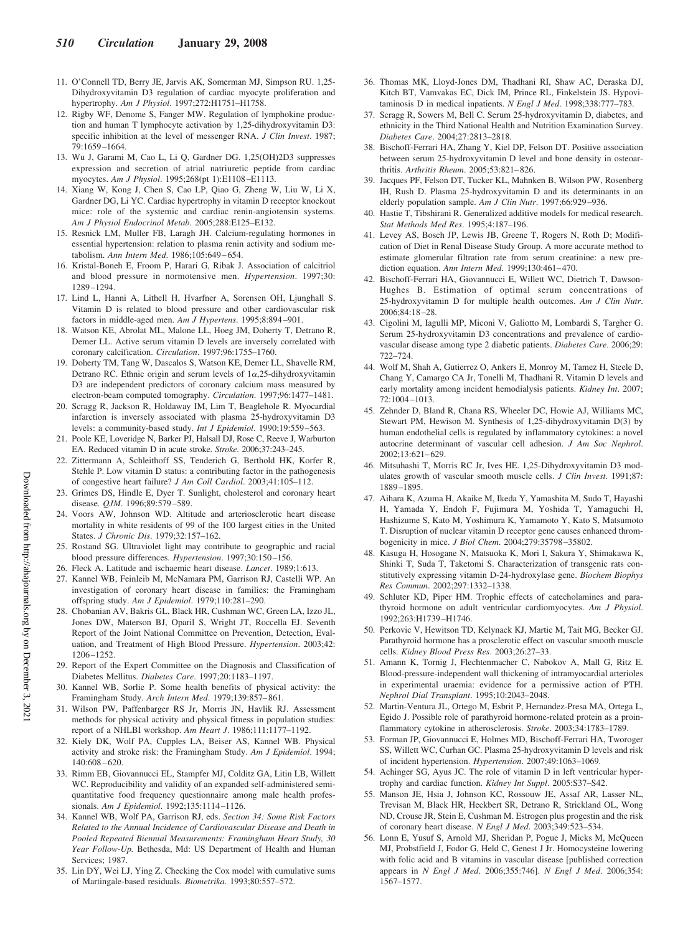- 11. O'Connell TD, Berry JE, Jarvis AK, Somerman MJ, Simpson RU. 1,25- Dihydroxyvitamin D3 regulation of cardiac myocyte proliferation and hypertrophy. *Am J Physiol*. 1997;272:H1751–H1758.
- 12. Rigby WF, Denome S, Fanger MW. Regulation of lymphokine production and human T lymphocyte activation by 1,25-dihydroxyvitamin D3: specific inhibition at the level of messenger RNA. *J Clin Invest*. 1987; 79:1659 –1664.
- 13. Wu J, Garami M, Cao L, Li Q, Gardner DG. 1,25(OH)2D3 suppresses expression and secretion of atrial natriuretic peptide from cardiac myocytes. *Am J Physiol*. 1995;268(pt 1):E1108 –E1113.
- 14. Xiang W, Kong J, Chen S, Cao LP, Qiao G, Zheng W, Liu W, Li X, Gardner DG, Li YC. Cardiac hypertrophy in vitamin D receptor knockout mice: role of the systemic and cardiac renin-angiotensin systems. *Am J Physiol Endocrinol Metab*. 2005;288:E125–E132.
- 15. Resnick LM, Muller FB, Laragh JH. Calcium-regulating hormones in essential hypertension: relation to plasma renin activity and sodium metabolism. *Ann Intern Med*. 1986;105:649 – 654.
- 16. Kristal-Boneh E, Froom P, Harari G, Ribak J. Association of calcitriol and blood pressure in normotensive men. *Hypertension*. 1997;30: 1289 –1294.
- 17. Lind L, Hanni A, Lithell H, Hvarfner A, Sorensen OH, Ljunghall S. Vitamin D is related to blood pressure and other cardiovascular risk factors in middle-aged men. *Am J Hypertens*. 1995;8:894 –901.
- 18. Watson KE, Abrolat ML, Malone LL, Hoeg JM, Doherty T, Detrano R, Demer LL. Active serum vitamin D levels are inversely correlated with coronary calcification. *Circulation*. 1997;96:1755–1760.
- 19. Doherty TM, Tang W, Dascalos S, Watson KE, Demer LL, Shavelle RM, Detrano RC. Ethnic origin and serum levels of  $1\alpha, 25$ -dihydroxyvitamin D3 are independent predictors of coronary calcium mass measured by electron-beam computed tomography. *Circulation*. 1997;96:1477–1481.
- 20. Scragg R, Jackson R, Holdaway IM, Lim T, Beaglehole R. Myocardial infarction is inversely associated with plasma 25-hydroxyvitamin D3 levels: a community-based study. *Int J Epidemiol*. 1990;19:559 –563.
- 21. Poole KE, Loveridge N, Barker PJ, Halsall DJ, Rose C, Reeve J, Warburton EA. Reduced vitamin D in acute stroke. *Stroke*. 2006;37:243–245.
- 22. Zittermann A, Schleithoff SS, Tenderich G, Berthold HK, Korfer R, Stehle P. Low vitamin D status: a contributing factor in the pathogenesis of congestive heart failure? *J Am Coll Cardiol*. 2003;41:105–112.
- 23. Grimes DS, Hindle E, Dyer T. Sunlight, cholesterol and coronary heart disease. *QJM*. 1996;89:579 –589.
- 24. Voors AW, Johnson WD. Altitude and arteriosclerotic heart disease mortality in white residents of 99 of the 100 largest cities in the United States. *J Chronic Dis*. 1979;32:157–162.
- 25. Rostand SG. Ultraviolet light may contribute to geographic and racial blood pressure differences. *Hypertension*. 1997;30:150 –156.
- 26. Fleck A. Latitude and ischaemic heart disease. *Lancet*. 1989;1:613.
- 27. Kannel WB, Feinleib M, McNamara PM, Garrison RJ, Castelli WP. An investigation of coronary heart disease in families: the Framingham offspring study. *Am J Epidemiol*. 1979;110:281–290.
- 28. Chobanian AV, Bakris GL, Black HR, Cushman WC, Green LA, Izzo JL, Jones DW, Materson BJ, Oparil S, Wright JT, Roccella EJ. Seventh Report of the Joint National Committee on Prevention, Detection, Evaluation, and Treatment of High Blood Pressure. *Hypertension*. 2003;42: 1206 –1252.
- 29. Report of the Expert Committee on the Diagnosis and Classification of Diabetes Mellitus. *Diabetes Care*. 1997;20:1183–1197.
- 30. Kannel WB, Sorlie P. Some health benefits of physical activity: the Framingham Study. *Arch Intern Med*. 1979;139:857– 861.
- 31. Wilson PW, Paffenbarger RS Jr, Morris JN, Havlik RJ. Assessment methods for physical activity and physical fitness in population studies: report of a NHLBI workshop. *Am Heart J*. 1986;111:1177–1192.
- 32. Kiely DK, Wolf PA, Cupples LA, Beiser AS, Kannel WB. Physical activity and stroke risk: the Framingham Study. *Am J Epidemiol*. 1994; 140:608 – 620.
- 33. Rimm EB, Giovannucci EL, Stampfer MJ, Colditz GA, Litin LB, Willett WC. Reproducibility and validity of an expanded self-administered semiquantitative food frequency questionnaire among male health professionals. *Am J Epidemiol*. 1992;135:1114 –1126.
- 34. Kannel WB, Wolf PA, Garrison RJ, eds. *Section 34: Some Risk Factors Related to the Annual Incidence of Cardiovascular Disease and Death in Pooled Repeated Biennial Measurements: Framingham Heart Study, 30 Year Follow-Up.* Bethesda, Md: US Department of Health and Human Services; 1987.
- 35. Lin DY, Wei LJ, Ying Z. Checking the Cox model with cumulative sums of Martingale-based residuals. *Biometrika*. 1993;80:557–572.
- 36. Thomas MK, Lloyd-Jones DM, Thadhani RI, Shaw AC, Deraska DJ, Kitch BT, Vamvakas EC, Dick IM, Prince RL, Finkelstein JS. Hypovitaminosis D in medical inpatients. *N Engl J Med*. 1998;338:777–783.
- 37. Scragg R, Sowers M, Bell C. Serum 25-hydroxyvitamin D, diabetes, and ethnicity in the Third National Health and Nutrition Examination Survey. *Diabetes Care*. 2004;27:2813–2818.
- 38. Bischoff-Ferrari HA, Zhang Y, Kiel DP, Felson DT. Positive association between serum 25-hydroxyvitamin D level and bone density in osteoarthritis. *Arthritis Rheum*. 2005;53:821– 826.
- 39. Jacques PF, Felson DT, Tucker KL, Mahnken B, Wilson PW, Rosenberg IH, Rush D. Plasma 25-hydroxyvitamin D and its determinants in an elderly population sample. *Am J Clin Nutr*. 1997;66:929 –936.
- 40. Hastie T, Tibshirani R. Generalized additive models for medical research. *Stat Methods Med Res*. 1995;4:187–196.
- 41. Levey AS, Bosch JP, Lewis JB, Greene T, Rogers N, Roth D; Modification of Diet in Renal Disease Study Group. A more accurate method to estimate glomerular filtration rate from serum creatinine: a new prediction equation. *Ann Intern Med*. 1999;130:461– 470.
- 42. Bischoff-Ferrari HA, Giovannucci E, Willett WC, Dietrich T, Dawson-Hughes B. Estimation of optimal serum concentrations of 25-hydroxyvitamin D for multiple health outcomes. *Am J Clin Nutr*. 2006;84:18 –28.
- 43. Cigolini M, Iagulli MP, Miconi V, Galiotto M, Lombardi S, Targher G. Serum 25-hydroxyvitamin D3 concentrations and prevalence of cardiovascular disease among type 2 diabetic patients. *Diabetes Care*. 2006;29: 722–724.
- 44. Wolf M, Shah A, Gutierrez O, Ankers E, Monroy M, Tamez H, Steele D, Chang Y, Camargo CA Jr, Tonelli M, Thadhani R. Vitamin D levels and early mortality among incident hemodialysis patients. *Kidney Int*. 2007;  $72:1004 - 1013$
- 45. Zehnder D, Bland R, Chana RS, Wheeler DC, Howie AJ, Williams MC, Stewart PM, Hewison M. Synthesis of 1,25-dihydroxyvitamin D(3) by human endothelial cells is regulated by inflammatory cytokines: a novel autocrine determinant of vascular cell adhesion. *J Am Soc Nephrol*. 2002;13:621– 629.
- 46. Mitsuhashi T, Morris RC Jr, Ives HE. 1,25-Dihydroxyvitamin D3 modulates growth of vascular smooth muscle cells. *J Clin Invest*. 1991;87: 1889 –1895.
- 47. Aihara K, Azuma H, Akaike M, Ikeda Y, Yamashita M, Sudo T, Hayashi H, Yamada Y, Endoh F, Fujimura M, Yoshida T, Yamaguchi H, Hashizume S, Kato M, Yoshimura K, Yamamoto Y, Kato S, Matsumoto T. Disruption of nuclear vitamin D receptor gene causes enhanced thrombogenicity in mice. *J Biol Chem*. 2004;279:35798 –35802.
- 48. Kasuga H, Hosogane N, Matsuoka K, Mori I, Sakura Y, Shimakawa K, Shinki T, Suda T, Taketomi S. Characterization of transgenic rats constitutively expressing vitamin D-24-hydroxylase gene. *Biochem Biophys Res Commun*. 2002;297:1332–1338.
- 49. Schluter KD, Piper HM. Trophic effects of catecholamines and parathyroid hormone on adult ventricular cardiomyocytes. *Am J Physiol*. 1992;263:H1739 –H1746.
- 50. Perkovic V, Hewitson TD, Kelynack KJ, Martic M, Tait MG, Becker GJ. Parathyroid hormone has a prosclerotic effect on vascular smooth muscle cells. *Kidney Blood Press Res*. 2003;26:27–33.
- 51. Amann K, Tornig J, Flechtenmacher C, Nabokov A, Mall G, Ritz E. Blood-pressure-independent wall thickening of intramyocardial arterioles in experimental uraemia: evidence for a permissive action of PTH. *Nephrol Dial Transplant*. 1995;10:2043–2048.
- 52. Martin-Ventura JL, Ortego M, Esbrit P, Hernandez-Presa MA, Ortega L, Egido J. Possible role of parathyroid hormone-related protein as a proinflammatory cytokine in atherosclerosis. *Stroke*. 2003;34:1783–1789.
- 53. Forman JP, Giovannucci E, Holmes MD, Bischoff-Ferrari HA, Tworoger SS, Willett WC, Curhan GC. Plasma 25-hydroxyvitamin D levels and risk of incident hypertension. *Hypertension*. 2007;49:1063–1069.
- 54. Achinger SG, Ayus JC. The role of vitamin D in left ventricular hypertrophy and cardiac function. *Kidney Int Suppl*. 2005:S37–S42.
- 55. Manson JE, Hsia J, Johnson KC, Rossouw JE, Assaf AR, Lasser NL, Trevisan M, Black HR, Heckbert SR, Detrano R, Strickland OL, Wong ND, Crouse JR, Stein E, Cushman M. Estrogen plus progestin and the risk of coronary heart disease. *N Engl J Med*. 2003;349:523–534.
- 56. Lonn E, Yusuf S, Arnold MJ, Sheridan P, Pogue J, Micks M, McQueen MJ, Probstfield J, Fodor G, Held C, Genest J Jr. Homocysteine lowering with folic acid and B vitamins in vascular disease [published correction appears in *N Engl J Med*. 2006;355:746]. *N Engl J Med*. 2006;354: 1567–1577.